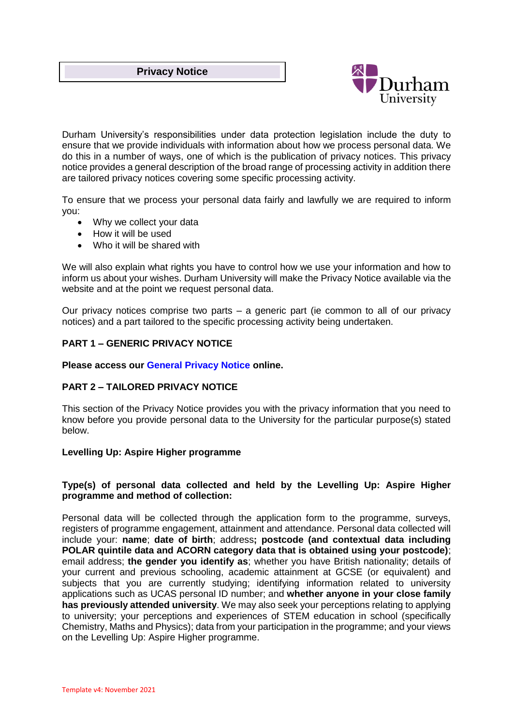## **Privacy Notice**



Durham University's responsibilities under data protection legislation include the duty to ensure that we provide individuals with information about how we process personal data. We do this in a number of ways, one of which is the publication of privacy notices. This privacy notice provides a general description of the broad range of processing activity in addition there are tailored privacy notices covering some specific processing activity.

To ensure that we process your personal data fairly and lawfully we are required to inform you:

- Why we collect your data
- How it will be used
- Who it will be shared with

We will also explain what rights you have to control how we use your information and how to inform us about your wishes. Durham University will make the Privacy Notice available via the website and at the point we request personal data.

Our privacy notices comprise two parts  $-$  a generic part (ie common to all of our privacy notices) and a part tailored to the specific processing activity being undertaken.

## **PART 1 – GENERIC PRIVACY NOTICE**

### **Please access our [General Privacy Notice](https://www.durham.ac.uk/about-us/governance/information-governance/data-protection/privacy-notices/generic-privacy-notice/) online.**

### **PART 2 – TAILORED PRIVACY NOTICE**

This section of the Privacy Notice provides you with the privacy information that you need to know before you provide personal data to the University for the particular purpose(s) stated below.

### **Levelling Up: Aspire Higher programme**

## **Type(s) of personal data collected and held by the Levelling Up: Aspire Higher programme and method of collection:**

Personal data will be collected through the application form to the programme, surveys, registers of programme engagement, attainment and attendance. Personal data collected will include your: **name**; **date of birth**; address**; postcode (and contextual data including POLAR quintile data and ACORN category data that is obtained using your postcode)**; email address; **the gender you identify as**; whether you have British nationality; details of your current and previous schooling, academic attainment at GCSE (or equivalent) and subjects that you are currently studying; identifying information related to university applications such as UCAS personal ID number; and **whether anyone in your close family has previously attended university**. We may also seek your perceptions relating to applying to university; your perceptions and experiences of STEM education in school (specifically Chemistry, Maths and Physics); data from your participation in the programme; and your views on the Levelling Up: Aspire Higher programme.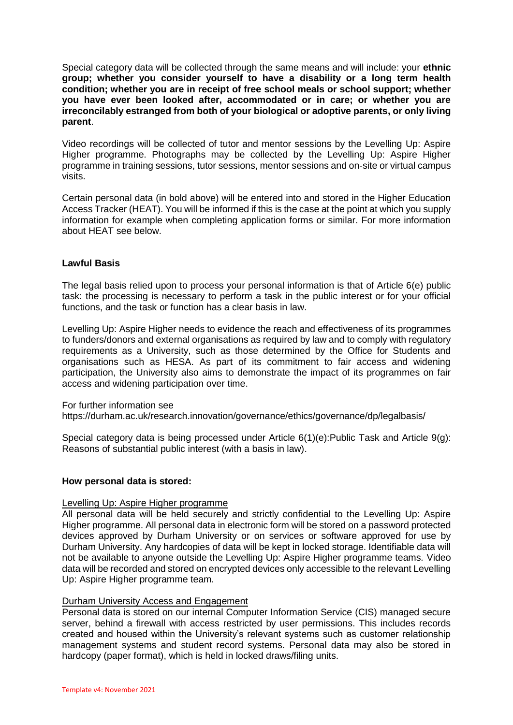Special category data will be collected through the same means and will include: your **ethnic group; whether you consider yourself to have a disability or a long term health condition; whether you are in receipt of free school meals or school support; whether you have ever been looked after, accommodated or in care; or whether you are irreconcilably estranged from both of your biological or adoptive parents, or only living parent**.

Video recordings will be collected of tutor and mentor sessions by the Levelling Up: Aspire Higher programme. Photographs may be collected by the Levelling Up: Aspire Higher programme in training sessions, tutor sessions, mentor sessions and on-site or virtual campus visits.

Certain personal data (in bold above) will be entered into and stored in the Higher Education Access Tracker (HEAT). You will be informed if this is the case at the point at which you supply information for example when completing application forms or similar. For more information about HEAT see below.

# **Lawful Basis**

The legal basis relied upon to process your personal information is that of Article 6(e) public task: the processing is necessary to perform a task in the public interest or for your official functions, and the task or function has a clear basis in law.

Levelling Up: Aspire Higher needs to evidence the reach and effectiveness of its programmes to funders/donors and external organisations as required by law and to comply with regulatory requirements as a University, such as those determined by the Office for Students and organisations such as HESA. As part of its commitment to fair access and widening participation, the University also aims to demonstrate the impact of its programmes on fair access and widening participation over time.

For further information see

<https://durham.ac.uk/research.innovation/governance/ethics/governance/dp/legalbasis/>

Special category data is being processed under Article 6(1)(e): Public Task and Article 9(g): Reasons of substantial public interest (with a basis in law).

# **How personal data is stored:**

### Levelling Up: Aspire Higher programme

All personal data will be held securely and strictly confidential to the Levelling Up: Aspire Higher programme. All personal data in electronic form will be stored on a password protected devices approved by Durham University or on services or software approved for use by Durham University. Any hardcopies of data will be kept in locked storage. Identifiable data will not be available to anyone outside the Levelling Up: Aspire Higher programme teams*.* Video data will be recorded and stored on encrypted devices only accessible to the relevant Levelling Up: Aspire Higher programme team.

### Durham University Access and Engagement

Personal data is stored on our internal Computer Information Service (CIS) managed secure server, behind a firewall with access restricted by user permissions. This includes records created and housed within the University's relevant systems such as customer relationship management systems and student record systems. Personal data may also be stored in hardcopy (paper format), which is held in locked draws/filing units.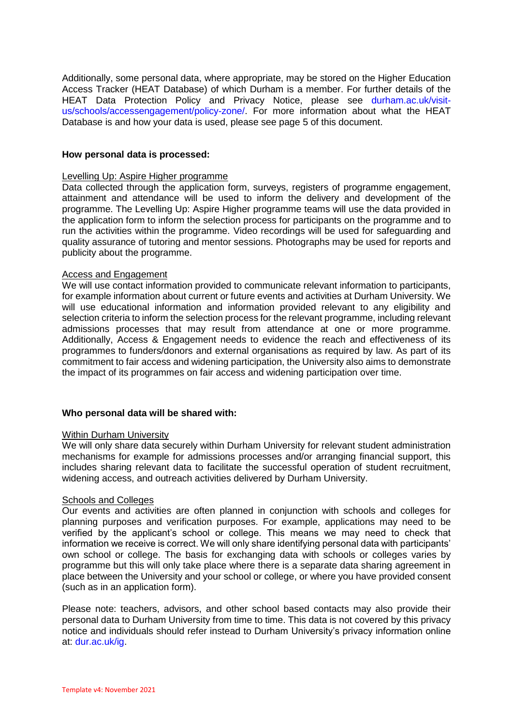Additionally, some personal data, where appropriate, may be stored on the Higher Education Access Tracker (HEAT Database) of which Durham is a member. For further details of the HEAT Data Protection Policy and Privacy Notice, please see [durham.ac.uk/visit](https://www.durham.ac.uk/visit-us/schools/access-engagement/policy-zone/)[us/schools/accessengagement/policy-zone/.](https://www.durham.ac.uk/visit-us/schools/access-engagement/policy-zone/) For more information about what the HEAT Database is and how your data is used, please see page 5 of this document.

### **How personal data is processed:**

#### Levelling Up: Aspire Higher programme

Data collected through the application form, surveys, registers of programme engagement, attainment and attendance will be used to inform the delivery and development of the programme. The Levelling Up: Aspire Higher programme teams will use the data provided in the application form to inform the selection process for participants on the programme and to run the activities within the programme. Video recordings will be used for safeguarding and quality assurance of tutoring and mentor sessions. Photographs may be used for reports and publicity about the programme.

#### Access and Engagement

We will use contact information provided to communicate relevant information to participants, for example information about current or future events and activities at Durham University. We will use educational information and information provided relevant to any eligibility and selection criteria to inform the selection process for the relevant programme, including relevant admissions processes that may result from attendance at one or more programme. Additionally, Access & Engagement needs to evidence the reach and effectiveness of its programmes to funders/donors and external organisations as required by law. As part of its commitment to fair access and widening participation, the University also aims to demonstrate the impact of its programmes on fair access and widening participation over time.

### **Who personal data will be shared with:**

### Within Durham University

We will only share data securely within Durham University for relevant student administration mechanisms for example for admissions processes and/or arranging financial support, this includes sharing relevant data to facilitate the successful operation of student recruitment, widening access, and outreach activities delivered by Durham University.

### Schools and Colleges

Our events and activities are often planned in conjunction with schools and colleges for planning purposes and verification purposes. For example, applications may need to be verified by the applicant's school or college. This means we may need to check that information we receive is correct. We will only share identifying personal data with participants' own school or college. The basis for exchanging data with schools or colleges varies by programme but this will only take place where there is a separate data sharing agreement in place between the University and your school or college, or where you have provided consent (such as in an application form).

Please note: teachers, advisors, and other school based contacts may also provide their personal data to Durham University from time to time. This data is not covered by this privacy notice and individuals should refer instead to Durham University's privacy information online at: [dur.ac.uk/ig.](https://www.dur.ac.uk/ig/)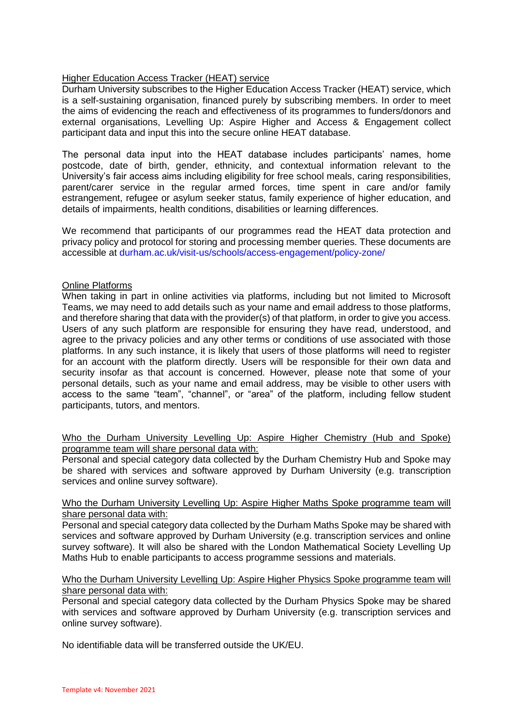# Higher Education Access Tracker (HEAT) service

Durham University subscribes to the Higher Education Access Tracker (HEAT) service, which is a self-sustaining organisation, financed purely by subscribing members. In order to meet the aims of evidencing the reach and effectiveness of its programmes to funders/donors and external organisations, Levelling Up: Aspire Higher and Access & Engagement collect participant data and input this into the secure online HEAT database.

The personal data input into the HEAT database includes participants' names, home postcode, date of birth, gender, ethnicity, and contextual information relevant to the University's fair access aims including eligibility for free school meals, caring responsibilities, parent/carer service in the regular armed forces, time spent in care and/or family estrangement, refugee or asylum seeker status, family experience of higher education, and details of impairments, health conditions, disabilities or learning differences.

We recommend that participants of our programmes read the HEAT data protection and privacy policy and protocol for storing and processing member queries. These documents are accessible at [durham.ac.uk/visit-us/schools/access-engagement/policy-zone/](https://www.durham.ac.uk/visit-us/schools/access-engagement/policy-zone/)

## Online Platforms

When taking in part in online activities via platforms, including but not limited to Microsoft Teams, we may need to add details such as your name and email address to those platforms, and therefore sharing that data with the provider(s) of that platform, in order to give you access. Users of any such platform are responsible for ensuring they have read, understood, and agree to the privacy policies and any other terms or conditions of use associated with those platforms. In any such instance, it is likely that users of those platforms will need to register for an account with the platform directly. Users will be responsible for their own data and security insofar as that account is concerned. However, please note that some of your personal details, such as your name and email address, may be visible to other users with access to the same "team", "channel", or "area" of the platform, including fellow student participants, tutors, and mentors.

## Who the Durham University Levelling Up: Aspire Higher Chemistry (Hub and Spoke) programme team will share personal data with:

Personal and special category data collected by the Durham Chemistry Hub and Spoke may be shared with services and software approved by Durham University (e.g. transcription services and online survey software).

### Who the Durham University Levelling Up: Aspire Higher Maths Spoke programme team will share personal data with:

Personal and special category data collected by the Durham Maths Spoke may be shared with services and software approved by Durham University (e.g. transcription services and online survey software). It will also be shared with the London Mathematical Society Levelling Up Maths Hub to enable participants to access programme sessions and materials.

### Who the Durham University Levelling Up: Aspire Higher Physics Spoke programme team will share personal data with:

Personal and special category data collected by the Durham Physics Spoke may be shared with services and software approved by Durham University (e.g. transcription services and online survey software).

No identifiable data will be transferred outside the UK/EU.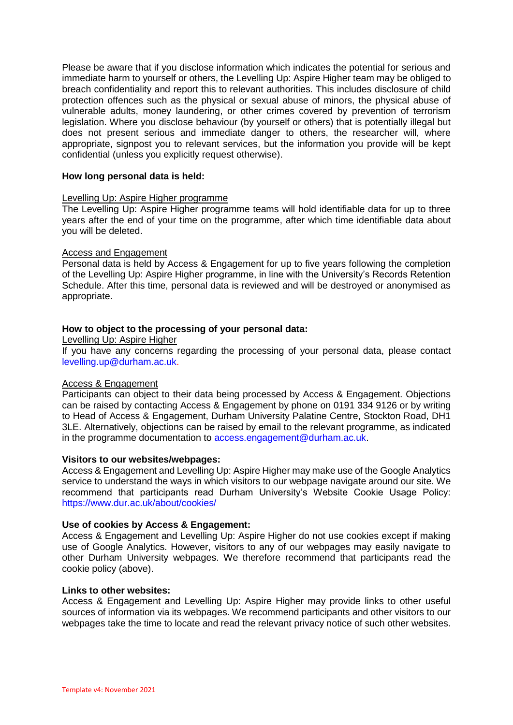Please be aware that if you disclose information which indicates the potential for serious and immediate harm to yourself or others, the Levelling Up: Aspire Higher team may be obliged to breach confidentiality and report this to relevant authorities. This includes disclosure of child protection offences such as the physical or sexual abuse of minors, the physical abuse of vulnerable adults, money laundering, or other crimes covered by prevention of terrorism legislation. Where you disclose behaviour (by yourself or others) that is potentially illegal but does not present serious and immediate danger to others, the researcher will, where appropriate, signpost you to relevant services, but the information you provide will be kept confidential (unless you explicitly request otherwise).

### **How long personal data is held:**

### Levelling Up: Aspire Higher programme

The Levelling Up: Aspire Higher programme teams will hold identifiable data for up to three years after the end of your time on the programme, after which time identifiable data about you will be deleted.

## Access and Engagement

Personal data is held by Access & Engagement for up to five years following the completion of the Levelling Up: Aspire Higher programme, in line with the University's Records Retention Schedule. After this time, personal data is reviewed and will be destroyed or anonymised as appropriate.

# **How to object to the processing of your personal data:**

Levelling Up: Aspire Higher

If you have any concerns regarding the processing of your personal data, please contact [levelling.up@durham.ac.uk.](mailto:levelling.up@durham.ac.uk)

### Access & Engagement

Participants can object to their data being processed by Access & Engagement. Objections can be raised by contacting Access & Engagement by phone on 0191 334 9126 or by writing to Head of Access & Engagement, Durham University Palatine Centre, Stockton Road, DH1 3LE. Alternatively, objections can be raised by email to the relevant programme, as indicated in the programme documentation to [access.engagement@durham.ac.uk.](mailto:access.engagement@durham.ac.uk)

### **Visitors to our websites/webpages:**

Access & Engagement and Levelling Up: Aspire Higher may make use of the Google Analytics service to understand the ways in which visitors to our webpage navigate around our site. We recommend that participants read Durham University's Website Cookie Usage Policy: <https://www.dur.ac.uk/about/cookies/>

### **Use of cookies by Access & Engagement:**

Access & Engagement and Levelling Up: Aspire Higher do not use cookies except if making use of Google Analytics. However, visitors to any of our webpages may easily navigate to other Durham University webpages. We therefore recommend that participants read the cookie policy (above).

## **Links to other websites:**

Access & Engagement and Levelling Up: Aspire Higher may provide links to other useful sources of information via its webpages. We recommend participants and other visitors to our webpages take the time to locate and read the relevant privacy notice of such other websites.